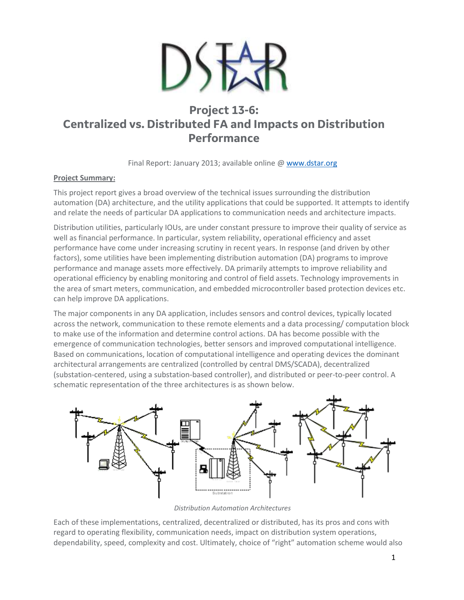

# **Project 13-6: Centralized vs. Distributed FA and Impacts on Distribution Performance**

Final Report: January 2013; available online @ [www.dstar.org](http://www.dstar.org/research/project/90/P13-6-centralized-vs-distributed-fa-and-impacts-on-distribution-performance)

## **Project Summary:**

This project report gives a broad overview of the technical issues surrounding the distribution automation (DA) architecture, and the utility applications that could be supported. It attempts to identify and relate the needs of particular DA applications to communication needs and architecture impacts.

Distribution utilities, particularly IOUs, are under constant pressure to improve their quality of service as well as financial performance. In particular, system reliability, operational efficiency and asset performance have come under increasing scrutiny in recent years. In response (and driven by other factors), some utilities have been implementing distribution automation (DA) programs to improve performance and manage assets more effectively. DA primarily attempts to improve reliability and operational efficiency by enabling monitoring and control of field assets. Technology improvements in the area of smart meters, communication, and embedded microcontroller based protection devices etc. can help improve DA applications.

The major components in any DA application, includes sensors and control devices, typically located across the network, communication to these remote elements and a data processing/ computation block to make use of the information and determine control actions. DA has become possible with the emergence of communication technologies, better sensors and improved computational intelligence. Based on communications, location of computational intelligence and operating devices the dominant architectural arrangements are centralized (controlled by central DMS/SCADA), decentralized (substation-centered, using a substation-based controller), and distributed or peer-to-peer control. A schematic representation of the three architectures is as shown below.



*Distribution Automation Architectures*

Each of these implementations, centralized, decentralized or distributed, has its pros and cons with regard to operating flexibility, communication needs, impact on distribution system operations, dependability, speed, complexity and cost. Ultimately, choice of "right" automation scheme would also